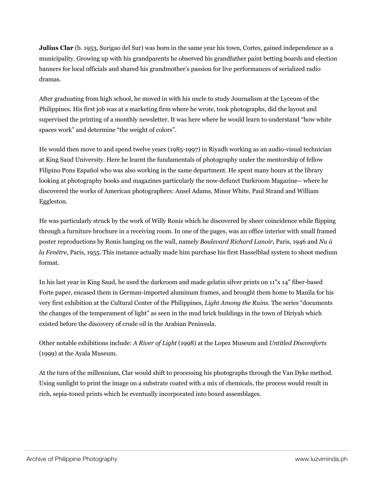**Julius Clar** (b. 1953, Surigao del Sur) was born in the same year his town, Cortes, gained independence as a municipality. Growing up with his grandparents he observed his grandfather paint betting boards and election banners for local officials and shared his grandmother's passion for live performances of serialized radio dramas.

After graduating from high school, he moved in with his uncle to study Journalism at the Lyceum of the Philippines. His first job was at a marketing firm where he wrote, took photographs, did the layout and supervised the printing of a monthly newsletter. It was here where he would learn to understand "how white spaces work" and determine "the weight of colors".

He would then move to and spend twelve years (1985-1997) in Riyadh working as an audio-visual technician at King Saud University. Here he learnt the fundamentals of photography under the mentorship of fellow Filipino Pons Español who was also working in the same department. He spent many hours at the library looking at photography books and magazines particularly the now-defunct Darkroom Magazine-- where he discovered the works of American photographers: Ansel Adams, Minor White, Paul Strand and William Eggleston.

He was particularly struck by the work of Willy Ronis which he discovered by sheer coincidence while flipping through a furniture brochure in a receiving room. In one of the pages, was an office interior with small framed poster reproductions by Ronis hanging on the wall, namely *Boulevard Richard Lanoir*, Paris, 1946 and *Nu à la Fenêtre*, Paris, 1955. This instance actually made him purchase his first Hasselblad system to shoot medium format.

In his last year in King Saud, he used the darkroom and made gelatin silver prints on 11"x 14" fiber-based Forte paper, encased them in German-imported aluminum frames, and brought them home to Manila for his very first exhibition at the Cultural Center of the Philippines, *Light Among the Ruins*. The series "documents the changes of the temperament of light" as seen in the mud brick buildings in the town of Diriyah which existed before the discovery of crude oil in the Arabian Peninsula.

Other notable exhibitions include: *A River of Light* (1998) at the Lopez Museum and *Untitled Discomforts* (1999) at the Ayala Museum.

At the turn of the millennium, Clar would shift to processing his photographs through the Van Dyke method. Using sunlight to print the image on a substrate coated with a mix of chemicals, the process would result in rich, sepia-toned prints which he eventually incorporated into boxed assemblages.